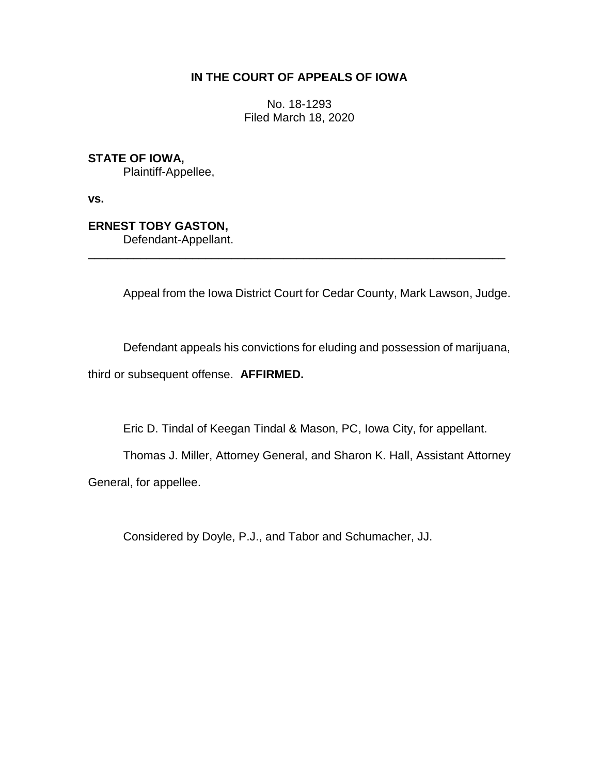# **IN THE COURT OF APPEALS OF IOWA**

No. 18-1293 Filed March 18, 2020

**STATE OF IOWA,**

Plaintiff-Appellee,

**vs.**

## **ERNEST TOBY GASTON,**

Defendant-Appellant.

Appeal from the Iowa District Court for Cedar County, Mark Lawson, Judge.

Defendant appeals his convictions for eluding and possession of marijuana,

\_\_\_\_\_\_\_\_\_\_\_\_\_\_\_\_\_\_\_\_\_\_\_\_\_\_\_\_\_\_\_\_\_\_\_\_\_\_\_\_\_\_\_\_\_\_\_\_\_\_\_\_\_\_\_\_\_\_\_\_\_\_\_\_

third or subsequent offense. **AFFIRMED.**

Eric D. Tindal of Keegan Tindal & Mason, PC, Iowa City, for appellant.

Thomas J. Miller, Attorney General, and Sharon K. Hall, Assistant Attorney General, for appellee.

Considered by Doyle, P.J., and Tabor and Schumacher, JJ.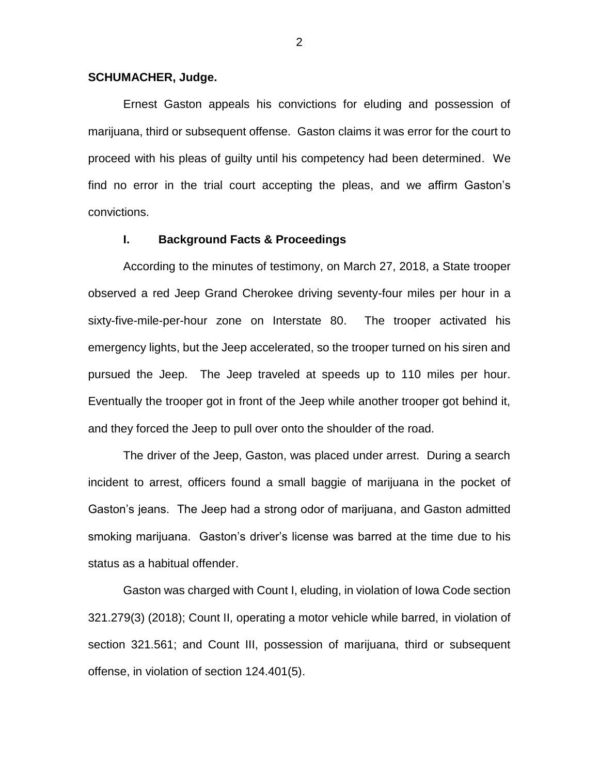#### **SCHUMACHER, Judge.**

Ernest Gaston appeals his convictions for eluding and possession of marijuana, third or subsequent offense. Gaston claims it was error for the court to proceed with his pleas of guilty until his competency had been determined. We find no error in the trial court accepting the pleas, and we affirm Gaston's convictions.

## **I. Background Facts & Proceedings**

According to the minutes of testimony, on March 27, 2018, a State trooper observed a red Jeep Grand Cherokee driving seventy-four miles per hour in a sixty-five-mile-per-hour zone on Interstate 80. The trooper activated his emergency lights, but the Jeep accelerated, so the trooper turned on his siren and pursued the Jeep. The Jeep traveled at speeds up to 110 miles per hour. Eventually the trooper got in front of the Jeep while another trooper got behind it, and they forced the Jeep to pull over onto the shoulder of the road.

The driver of the Jeep, Gaston, was placed under arrest. During a search incident to arrest, officers found a small baggie of marijuana in the pocket of Gaston's jeans. The Jeep had a strong odor of marijuana, and Gaston admitted smoking marijuana. Gaston's driver's license was barred at the time due to his status as a habitual offender.

Gaston was charged with Count I, eluding, in violation of Iowa Code section 321.279(3) (2018); Count II, operating a motor vehicle while barred, in violation of section 321.561; and Count III, possession of marijuana, third or subsequent offense, in violation of section 124.401(5).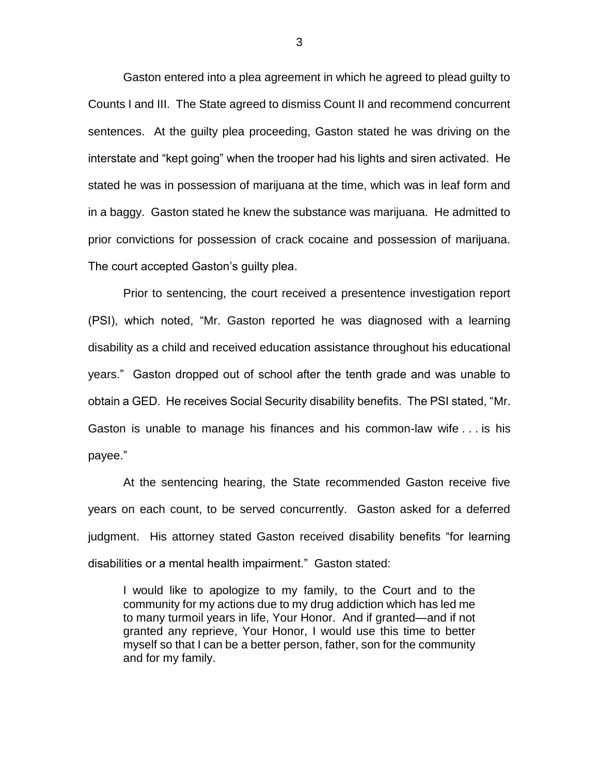Gaston entered into a plea agreement in which he agreed to plead guilty to Counts I and III. The State agreed to dismiss Count II and recommend concurrent sentences. At the guilty plea proceeding, Gaston stated he was driving on the interstate and "kept going" when the trooper had his lights and siren activated. He stated he was in possession of marijuana at the time, which was in leaf form and in a baggy. Gaston stated he knew the substance was marijuana. He admitted to prior convictions for possession of crack cocaine and possession of marijuana. The court accepted Gaston's guilty plea.

Prior to sentencing, the court received a presentence investigation report (PSI), which noted, "Mr. Gaston reported he was diagnosed with a learning disability as a child and received education assistance throughout his educational years." Gaston dropped out of school after the tenth grade and was unable to obtain a GED. He receives Social Security disability benefits. The PSI stated, "Mr. Gaston is unable to manage his finances and his common-law wife . . . is his payee."

At the sentencing hearing, the State recommended Gaston receive five years on each count, to be served concurrently. Gaston asked for a deferred judgment. His attorney stated Gaston received disability benefits "for learning disabilities or a mental health impairment." Gaston stated:

I would like to apologize to my family, to the Court and to the community for my actions due to my drug addiction which has led me to many turmoil years in life, Your Honor. And if granted—and if not granted any reprieve, Your Honor, I would use this time to better myself so that I can be a better person, father, son for the community and for my family.

3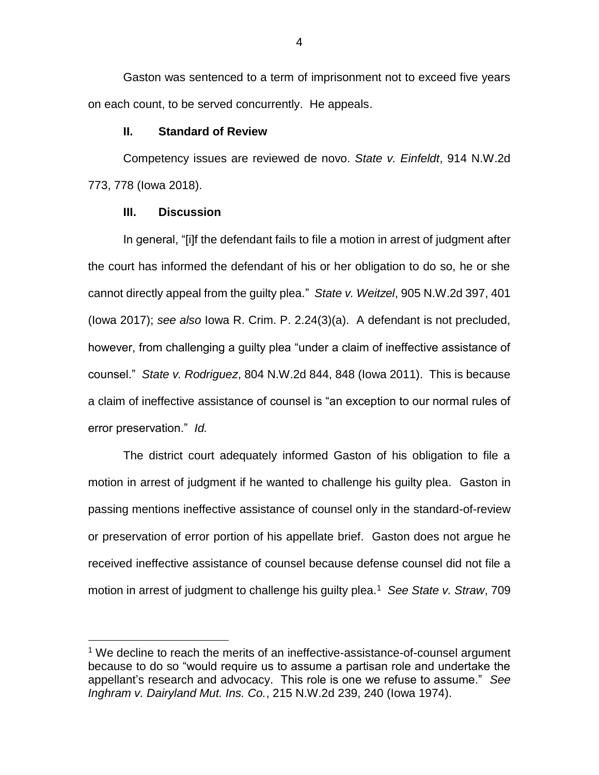Gaston was sentenced to a term of imprisonment not to exceed five years on each count, to be served concurrently. He appeals.

#### **II. Standard of Review**

Competency issues are reviewed de novo. *State v. Einfeldt*, 914 N.W.2d 773, 778 (Iowa 2018).

## **III. Discussion**

 $\overline{a}$ 

In general, "[i]f the defendant fails to file a motion in arrest of judgment after the court has informed the defendant of his or her obligation to do so, he or she cannot directly appeal from the guilty plea." *State v. Weitzel*, 905 N.W.2d 397, 401 (Iowa 2017); *see also* Iowa R. Crim. P. 2.24(3)(a). A defendant is not precluded, however, from challenging a guilty plea "under a claim of ineffective assistance of counsel." *State v. Rodriguez*, 804 N.W.2d 844, 848 (Iowa 2011). This is because a claim of ineffective assistance of counsel is "an exception to our normal rules of error preservation." *Id.*

The district court adequately informed Gaston of his obligation to file a motion in arrest of judgment if he wanted to challenge his guilty plea. Gaston in passing mentions ineffective assistance of counsel only in the standard-of-review or preservation of error portion of his appellate brief. Gaston does not argue he received ineffective assistance of counsel because defense counsel did not file a motion in arrest of judgment to challenge his guilty plea.<sup>1</sup> See State v. Straw, 709

<sup>&</sup>lt;sup>1</sup> We decline to reach the merits of an ineffective-assistance-of-counsel argument because to do so "would require us to assume a partisan role and undertake the appellant's research and advocacy. This role is one we refuse to assume." *See Inghram v. Dairyland Mut. Ins. Co.*, 215 N.W.2d 239, 240 (Iowa 1974).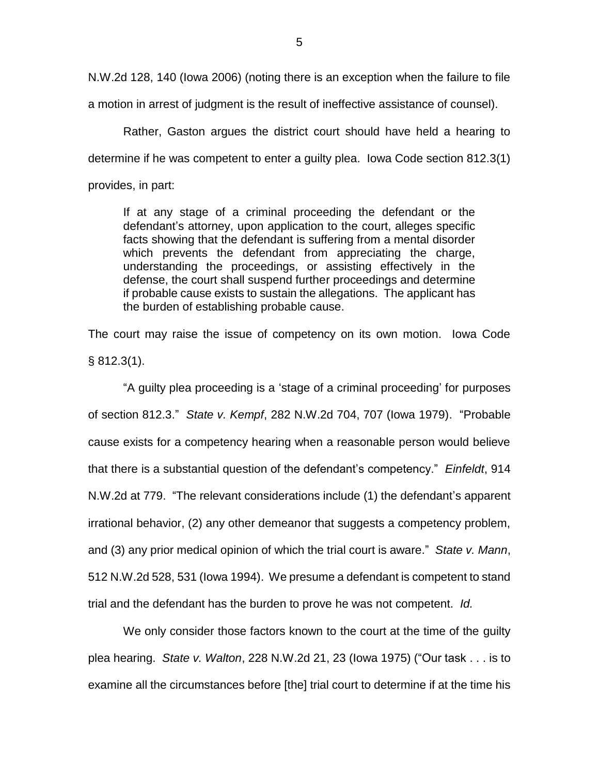N.W.2d 128, 140 (Iowa 2006) (noting there is an exception when the failure to file

a motion in arrest of judgment is the result of ineffective assistance of counsel).

Rather, Gaston argues the district court should have held a hearing to determine if he was competent to enter a guilty plea. Iowa Code section 812.3(1) provides, in part:

If at any stage of a criminal proceeding the defendant or the defendant's attorney, upon application to the court, alleges specific facts showing that the defendant is suffering from a mental disorder which prevents the defendant from appreciating the charge, understanding the proceedings, or assisting effectively in the defense, the court shall suspend further proceedings and determine if probable cause exists to sustain the allegations. The applicant has the burden of establishing probable cause.

The court may raise the issue of competency on its own motion. Iowa Code § 812.3(1).

"A guilty plea proceeding is a 'stage of a criminal proceeding' for purposes of section 812.3." *State v. Kempf*, 282 N.W.2d 704, 707 (Iowa 1979). "Probable cause exists for a competency hearing when a reasonable person would believe that there is a substantial question of the defendant's competency." *Einfeldt*, 914 N.W.2d at 779. "The relevant considerations include (1) the defendant's apparent irrational behavior, (2) any other demeanor that suggests a competency problem, and (3) any prior medical opinion of which the trial court is aware." *State v. Mann*, 512 N.W.2d 528, 531 (Iowa 1994). We presume a defendant is competent to stand trial and the defendant has the burden to prove he was not competent. *Id.*

We only consider those factors known to the court at the time of the guilty plea hearing. *State v. Walton*, 228 N.W.2d 21, 23 (Iowa 1975) ("Our task . . . is to examine all the circumstances before [the] trial court to determine if at the time his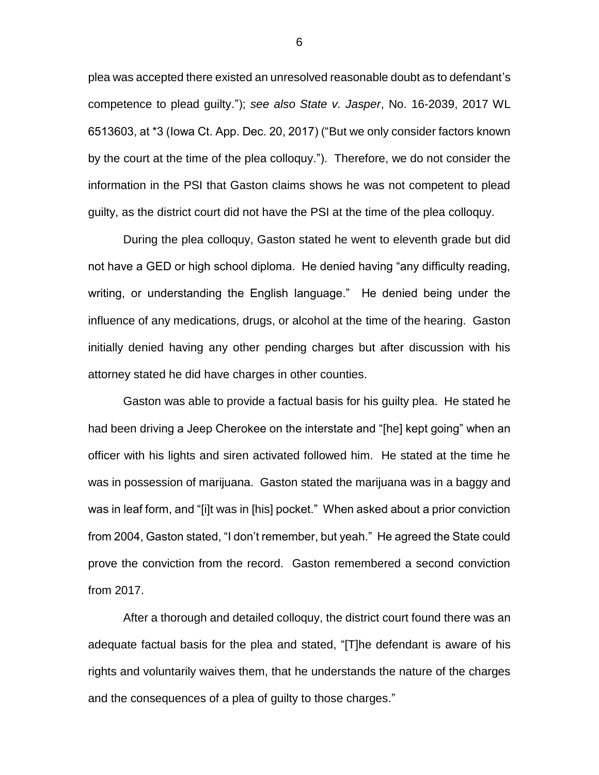plea was accepted there existed an unresolved reasonable doubt as to defendant's competence to plead guilty."); *see also State v. Jasper*, No. 16-2039, 2017 WL 6513603, at \*3 (Iowa Ct. App. Dec. 20, 2017) ("But we only consider factors known by the court at the time of the plea colloquy."). Therefore, we do not consider the information in the PSI that Gaston claims shows he was not competent to plead guilty, as the district court did not have the PSI at the time of the plea colloquy.

During the plea colloquy, Gaston stated he went to eleventh grade but did not have a GED or high school diploma. He denied having "any difficulty reading, writing, or understanding the English language." He denied being under the influence of any medications, drugs, or alcohol at the time of the hearing. Gaston initially denied having any other pending charges but after discussion with his attorney stated he did have charges in other counties.

Gaston was able to provide a factual basis for his guilty plea. He stated he had been driving a Jeep Cherokee on the interstate and "[he] kept going" when an officer with his lights and siren activated followed him. He stated at the time he was in possession of marijuana. Gaston stated the marijuana was in a baggy and was in leaf form, and "[i]t was in [his] pocket." When asked about a prior conviction from 2004, Gaston stated, "I don't remember, but yeah." He agreed the State could prove the conviction from the record. Gaston remembered a second conviction from 2017.

After a thorough and detailed colloquy, the district court found there was an adequate factual basis for the plea and stated, "[T]he defendant is aware of his rights and voluntarily waives them, that he understands the nature of the charges and the consequences of a plea of guilty to those charges."

6